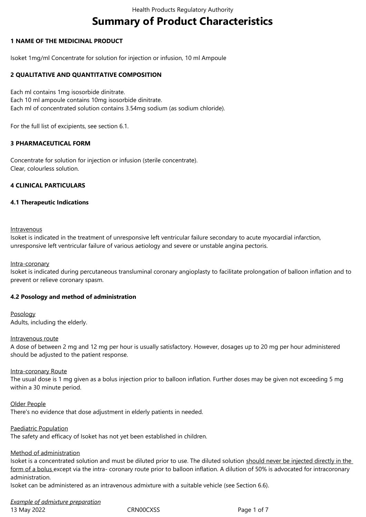# **Summary of Product Characteristics**

# **1 NAME OF THE MEDICINAL PRODUCT**

Isoket 1mg/ml Concentrate for solution for injection or infusion, 10 ml Ampoule

# **2 QUALITATIVE AND QUANTITATIVE COMPOSITION**

Each ml contains 1mg isosorbide dinitrate. Each 10 ml ampoule contains 10mg isosorbide dinitrate. Each ml of concentrated solution contains 3.54mg sodium (as sodium chloride).

For the full list of excipients, see section 6.1.

## **3 PHARMACEUTICAL FORM**

Concentrate for solution for injection or infusion (sterile concentrate). Clear, colourless solution.

## **4 CLINICAL PARTICULARS**

## **4.1 Therapeutic Indications**

#### Intravenous

Isoket is indicated in the treatment of unresponsive left ventricular failure secondary to acute myocardial infarction, unresponsive left ventricular failure of various aetiology and severe or unstable angina pectoris.

## Intra-coronary

Isoket is indicated during percutaneous transluminal coronary angioplasty to facilitate prolongation of balloon inflation and to prevent or relieve coronary spasm.

## **4.2 Posology and method of administration**

Posology Adults, including the elderly.

#### Intravenous route

A dose of between 2 mg and 12 mg per hour is usually satisfactory. However, dosages up to 20 mg per hour administered should be adjusted to the patient response.

## Intra-coronary Route

The usual dose is 1 mg given as a bolus injection prior to balloon inflation. Further doses may be given not exceeding 5 mg within a 30 minute period.

Older People There's no evidence that dose adjustment in elderly patients in needed.

Paediatric Population

The safety and efficacy of Isoket has not yet been established in children.

# Method of administration

Isoket is a concentrated solution and must be diluted prior to use. The diluted solution should never be injected directly in the form of a bolus except via the intra- coronary route prior to balloon inflation. A dilution of 50% is advocated for intracoronary administration.

Isoket can be administered as an intravenous admixture with a suitable vehicle (see Section 6.6).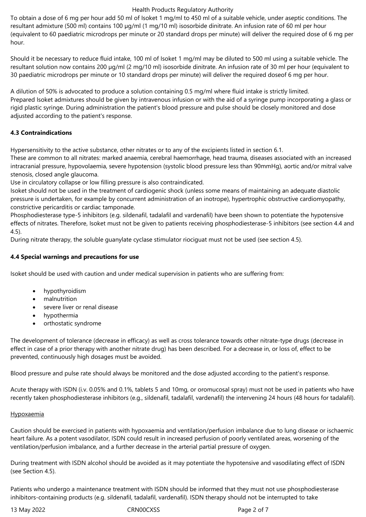## Health Products Regulatory Authority

To obtain a dose of 6 mg per hour add 50 ml of Isoket 1 mg/ml to 450 ml of a suitable vehicle, under aseptic conditions. The resultant admixture (500 ml) contains 100 µg/ml (1 mg/10 ml) isosorbide dinitrate. An infusion rate of 60 ml per hour (equivalent to 60 paediatric microdrops per minute or 20 standard drops per minute) will deliver the required dose of 6 mg per hour.

Should it be necessary to reduce fluid intake, 100 ml of Isoket 1 mg/ml may be diluted to 500 ml using a suitable vehicle. The resultant solution now contains 200 µg/ml (2 mg/10 ml) isosorbide dinitrate. An infusion rate of 30 ml per hour (equivalent to 30 paediatric microdrops per minute or 10 standard drops per minute) will deliver the required doseof 6 mg per hour.

A dilution of 50% is advocated to produce a solution containing 0.5 mg/ml where fluid intake is strictly limited. Prepared Isoket admixtures should be given by intravenous infusion or with the aid of a syringe pump incorporating a glass or rigid plastic syringe. During administration the patient's blood pressure and pulse should be closely monitored and dose adjusted according to the patient's response.

# **4.3 Contraindications**

Hypersensitivity to the active substance, other nitrates or to any of the excipients listed in section 6.1.

These are common to all nitrates: marked anaemia, cerebral haemorrhage, head trauma, diseases associated with an increased intracranial pressure, hypovolaemia, severe hypotension (systolic blood pressure less than 90mmHg), aortic and/or mitral valve stenosis, closed angle glaucoma.

Use in circulatory collapse or low filling pressure is also contraindicated.

Isoket should not be used in the treatment of cardiogenic shock (unless some means of maintaining an adequate diastolic pressure is undertaken, for example by concurrent administration of an inotrope), hypertrophic obstructive cardiomyopathy, constrictive pericarditis or cardiac tamponade.

Phosphodiesterase type-5 inhibitors (e.g. sildenafil, tadalafil and vardenafil) have been shown to potentiate the hypotensive effects of nitrates. Therefore, Isoket must not be given to patients receiving phosphodiesterase-5 inhibitors (see section 4.4 and 4.5).

During nitrate therapy, the soluble guanylate cyclase stimulator riociguat must not be used (see section 4.5).

# **4.4 Special warnings and precautions for use**

Isoket should be used with caution and under medical supervision in patients who are suffering from:

- hypothyroidism
- malnutrition
- severe liver or renal disease
- hypothermia
- orthostatic syndrome

The development of tolerance (decrease in efficacy) as well as cross tolerance towards other nitrate-type drugs (decrease in effect in case of a prior therapy with another nitrate drug) has been described. For a decrease in, or loss of, effect to be prevented, continuously high dosages must be avoided.

Blood pressure and pulse rate should always be monitored and the dose adjusted according to the patient's response.

Acute therapy with ISDN (i.v. 0.05% and 0.1%, tablets 5 and 10mg, or oromucosal spray) must not be used in patients who have recently taken phosphodiesterase inhibitors (e.g., sildenafil, tadalafil, vardenafil) the intervening 24 hours (48 hours for tadalafil).

## **Hypoxaemia**

Caution should be exercised in patients with hypoxaemia and ventilation/perfusion imbalance due to lung disease or ischaemic heart failure. As a potent vasodilator, ISDN could result in increased perfusion of poorly ventilated areas, worsening of the ventilation/perfusion imbalance, and a further decrease in the arterial partial pressure of oxygen.

During treatment with ISDN alcohol should be avoided as it may potentiate the hypotensive and vasodilating effect of ISDN (see Section 4.5).

Patients who undergo a maintenance treatment with ISDN should be informed that they must not use phosphodiesterase inhibitors-containing products (e.g. sildenafil, tadalafil, vardenafil). ISDN therapy should not be interrupted to take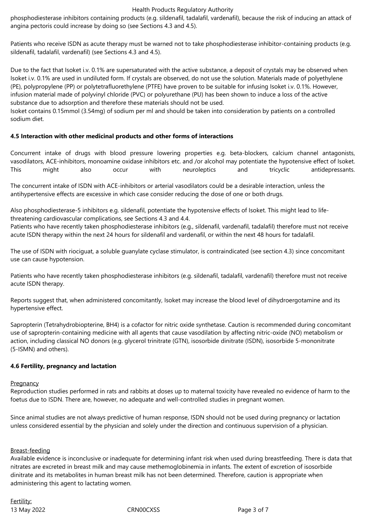#### Health Products Regulatory Authority

phosphodiesterase inhibitors containing products (e.g. sildenafil, tadalafil, vardenafil), because the risk of inducing an attack of angina pectoris could increase by doing so (see Sections 4.3 and 4.5).

Patients who receive ISDN as acute therapy must be warned not to take phosphodiesterase inhibitor-containing products (e.g. sildenafil, tadalafil, vardenafil) (see Sections 4.3 and 4.5).

Due to the fact that Isoket i.v. 0.1% are supersaturated with the active substance, a deposit of crystals may be observed when Isoket i.v. 0.1% are used in undiluted form. If crystals are observed, do not use the solution. Materials made of polyethylene (PE), polypropylene (PP) or polytetrafluorethylene (PTFE) have proven to be suitable for infusing Isoket i.v. 0.1%. However, infusion material made of polyvinyl chloride (PVC) or polyurethane (PU) has been shown to induce a loss of the active substance due to adsorption and therefore these materials should not be used.

Isoket contains 0.15mmol (3.54mg) of sodium per ml and should be taken into consideration by patients on a controlled sodium diet.

# **4.5 Interaction with other medicinal products and other forms of interactions**

Concurrent intake of drugs with blood pressure lowering properties e.g. beta-blockers, calcium channel antagonists, vasodilators, ACE-inhibitors, monoamine oxidase inhibitors etc. and /or alcohol may potentiate the hypotensive effect of Isoket. This might also occur with neuroleptics and tricyclic antidepressants.

The concurrent intake of ISDN with ACE-inhibitors or arterial vasodilators could be a desirable interaction, unless the antihypertensive effects are excessive in which case consider reducing the dose of one or both drugs.

Also phosphodiesterase-5 inhibitors e.g. sildenafil, potentiate the hypotensive effects of Isoket. This might lead to lifethreatening cardiovascular complications, see Sections 4.3 and 4.4.

Patients who have recently taken phosphodiesterase inhibitors (e.g., sildenafil, vardenafil, tadalafil) therefore must not receive acute ISDN therapy within the next 24 hours for sildenafil and vardenafil, or within the next 48 hours for tadalafil.

The use of ISDN with riociguat, a soluble guanylate cyclase stimulator, is contraindicated (see section 4.3) since concomitant use can cause hypotension.

Patients who have recently taken phosphodiesterase inhibitors (e.g. sildenafil, tadalafil, vardenafil) therefore must not receive acute ISDN therapy.

Reports suggest that, when administered concomitantly, Isoket may increase the blood level of dihydroergotamine and its hypertensive effect.

Sapropterin (Tetrahydrobiopterine, BH4) is a cofactor for nitric oxide synthetase. Caution is recommended during concomitant use of sapropterin‑containing medicine with all agents that cause vasodilation by affecting nitric-oxide (NO) metabolism or action, including classical NO donors (e.g. glycerol trinitrate (GTN), isosorbide dinitrate (ISDN), isosorbide 5‑mononitrate (5-ISMN) and others).

## **4.6 Fertility, pregnancy and lactation**

**Pregnancy** 

Reproduction studies performed in rats and rabbits at doses up to maternal toxicity have revealed no evidence of harm to the foetus due to ISDN. There are, however, no adequate and well-controlled studies in pregnant women.

Since animal studies are not always predictive of human response, ISDN should not be used during pregnancy or lactation unless considered essential by the physician and solely under the direction and continuous supervision of a physician.

## Breast-feeding

Available evidence is inconclusive or inadequate for determining infant risk when used during breastfeeding. There is data that nitrates are excreted in breast milk and may cause methemoglobinemia in infants. The extent of excretion of isosorbide dinitrate and its metabolites in human breast milk has not been determined. Therefore, caution is appropriate when administering this agent to lactating women.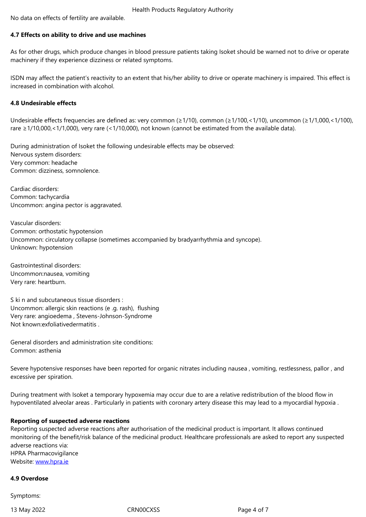#### **4.7 Effects on ability to drive and use machines**

As for other drugs, which produce changes in blood pressure patients taking Isoket should be warned not to drive or operate machinery if they experience dizziness or related symptoms.

ISDN may affect the patient's reactivity to an extent that his/her ability to drive or operate machinery is impaired. This effect is increased in combination with alcohol.

# **4.8 Undesirable effects**

Undesirable effects frequencies are defined as: very common (≥1/10), common (≥1/100,<1/10), uncommon (≥1/1,000,<1/100), rare ≥1/10,000,<1/1,000), very rare (<1/10,000), not known (cannot be estimated from the available data).

During administration of Isoket the following undesirable effects may be observed: Nervous system disorders: Very common: headache Common: dizziness, somnolence.

Cardiac disorders: Common: tachycardia Uncommon: angina pector is aggravated.

Vascular disorders: Common: orthostatic hypotension Uncommon: circulatory collapse (sometimes accompanied by bradyarrhythmia and syncope). Unknown: hypotension

Gastrointestinal disorders: Uncommon:nausea, vomiting Very rare: heartburn.

S ki n and subcutaneous tissue disorders : Uncommon: allergic skin reactions (e .g. rash), flushing Very rare: angioedema , Stevens-Johnson-Syndrome Not known:exfoliativedermatitis .

General disorders and administration site conditions: Common: asthenia

Severe hypotensive responses have been reported for organic nitrates including nausea , vomiting, restlessness, pallor , and excessive per spiration.

During treatment with Isoket a temporary hypoxemia may occur due to are a relative redistribution of the blood flow in hypoventilated alveolar areas . Particularly in patients with coronary artery disease this may lead to a myocardial hypoxia .

## **Reporting of suspected adverse reactions**

Reporting suspected adverse reactions after authorisation of the medicinal product is important. It allows continued monitoring of the benefit/risk balance of the medicinal product. Healthcare professionals are asked to report any suspected adverse reactions via: HPRA Pharmacovigilance Website: www.hpra.ie

#### **4.9 Overdose**

Sympto[ms:](http://www.hpra.ie/)

13 May 2022 CRN00CXSS Page 4 of 7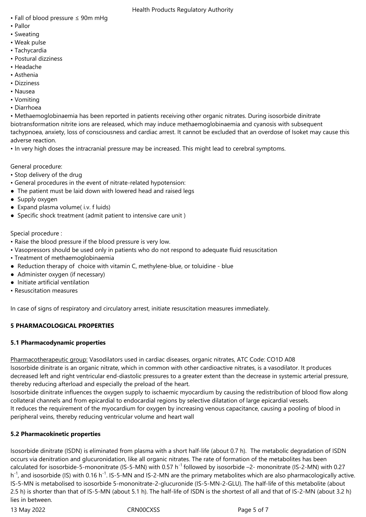- Fall of blood pressure ≤ 90m mHg
- Pallor
- Sweating
- Weak pulse
- Tachycardia
- Postural dizziness
- Headache
- Asthenia
- Dizziness
- Nausea
- Vomiting
- Diarrhoea

• Methaemoglobinaemia has been reported in patients receiving other organic nitrates. During isosorbide dinitrate biotransformation nitrite ions are released, which may induce methaemoglobinaemia and cyanosis with subsequent tachypnoea, anxiety, loss of consciousness and cardiac arrest. It cannot be excluded that an overdose of Isoket may cause this adverse reaction.

• In very high doses the intracranial pressure may be increased. This might lead to cerebral symptoms.

General procedure:

- Stop delivery of the drug
- General procedures in the event of nitrate-related hypotension:
- The patient must be laid down with lowered head and raised legs
- Supply oxygen
- Expand plasma volume( i.v. f luids)
- Specific shock treatment (admit patient to intensive care unit )

Special procedure :

- Raise the blood pressure if the blood pressure is very low.
- Vasopressors should be used only in patients who do not respond to adequate fluid resuscitation
- Treatment of methaemoglobinaemia
- Reduction therapy of choice with vitamin C, methylene-blue, or toluidine blue
- Administer oxygen (if necessary)
- Initiate artificial ventilation
- Resuscitation measures

In case of signs of respiratory and circulatory arrest, initiate resuscitation measures immediately.

# **5 PHARMACOLOGICAL PROPERTIES**

# **5.1 Pharmacodynamic properties**

Pharmacotherapeutic group: Vasodilators used in cardiac diseases, organic nitrates, ATC Code: CO1D A08 Isosorbide dinitrate is an organic nitrate, which in common with other cardioactive nitrates, is a vasodilator. It produces decreased left and right ventricular end-diastolic pressures to a greater extent than the decrease in systemic arterial pressure, thereby reducing afterload and especially the preload of the heart.

Isosorbide dinitrate influences the oxygen supply to ischaemic myocardium by causing the redistribution of blood flow along collateral channels and from epicardial to endocardial regions by selective dilatation of large epicardial vessels. It reduces the requirement of the myocardium for oxygen by increasing venous capacitance, causing a pooling of blood in peripheral veins, thereby reducing ventricular volume and heart wall

# **5.2 Pharmacokinetic properties**

Isosorbide dinitrate (ISDN) is eliminated from plasma with a short half-life (about 0.7 h). The metabolic degradation of ISDN occurs via denitration and glucuronidation, like all organic nitrates. The rate of formation of the metabolites has been calculated for isosorbide-5-mononitrate (IS-5-MN) with 0.57 h<sup>-1</sup> followed by isosorbide  $-2$ - mononitrate (IS-2-MN) with 0.27 h<sup>-1</sup>, and isosorbide (IS) with 0.16 h<sup>-1</sup>. IS-5-MN and IS-2-MN are the primary metabolites which are also pharmacologically active. IS-5-MN is metabolised to isosorbide 5-mononitrate-2-glucuronide (IS-5-MN-2-GLU). The half-life of this metabolite (about 2.5 h) is shorter than that of IS-5-MN (about 5.1 h). The half-life of ISDN is the shortest of all and that of IS-2-MN (about 3.2 h) lies in between.

13 May 2022 CRN00CXSS Page 5 of 7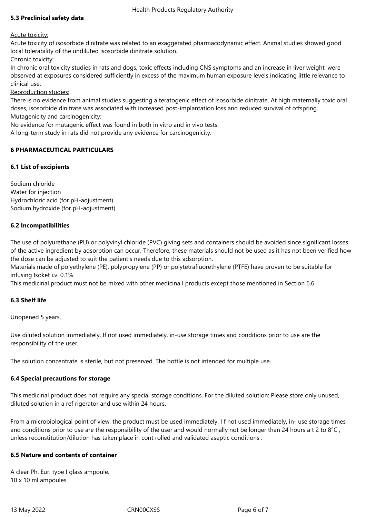# **5.3 Preclinical safety data**

Acute toxicity:

Acute toxicity of isosorbide dinitrate was related to an exaggerated pharmacodynamic effect. Animal studies showed good local tolerability of the undiluted isosorbide dinitrate solution.

Chronic toxicity:

In chronic oral toxicity studies in rats and dogs, toxic effects including CNS symptoms and an increase in liver weight, were observed at exposures considered sufficiently in excess of the maximum human exposure levels indicating little relevance to clinical use.

Reproduction studies:

There is no evidence from animal studies suggesting a teratogenic effect of isosorbide dinitrate. At high maternally toxic oral doses, isosorbide dinitrate was associated with increased post-implantation loss and reduced survival of offspring. Mutagenicity and carcinogenicity:

No evidence for mutagenic effect was found in both in vitro and in vivo tests.

A long-term study in rats did not provide any evidence for carcinogenicity.

# **6 PHARMACEUTICAL PARTICULARS**

# **6.1 List of excipients**

Sodium chloride Water for injection Hydrochloric acid (for pH-adjustment) Sodium hydroxide (for pH-adjustment)

# **6.2 Incompatibilities**

The use of polyurethane (PU) or polyvinyl chloride (PVC) giving sets and containers should be avoided since significant losses of the active ingredient by adsorption can occur. Therefore, these materials should not be used as it has not been verified how the dose can be adjusted to suit the patient's needs due to this adsorption.

Materials made of polyethylene (PE), polypropylene (PP) or polytetrafluorethylene (PTFE) have proven to be suitable for infusing Isoket i.v. 0.1%.

This medicinal product must not be mixed with other medicina l products except those mentioned in Section 6.6.

# **6.3 Shelf life**

Unopened 5 years.

Use diluted solution immediately. If not used immediately, in-use storage times and conditions prior to use are the responsibility of the user.

The solution concentrate is sterile, but not preserved. The bottle is not intended for multiple use.

## **6.4 Special precautions for storage**

This medicinal product does not require any special storage conditions. For the diluted solution: Please store only unused, diluted solution in a ref rigerator and use within 24 hours.

From a microbiological point of view, the product must be used immediately. I f not used immediately, in- use storage times and conditions prior to use are the responsibility of the user and would normally not be longer than 24 hours a t 2 to 8°C, unless reconstitution/dilution has taken place in cont rolled and validated aseptic conditions .

## **6.5 Nature and contents of container**

A clear Ph. Eur. type I glass ampoule. 10 x 10 ml ampoules.